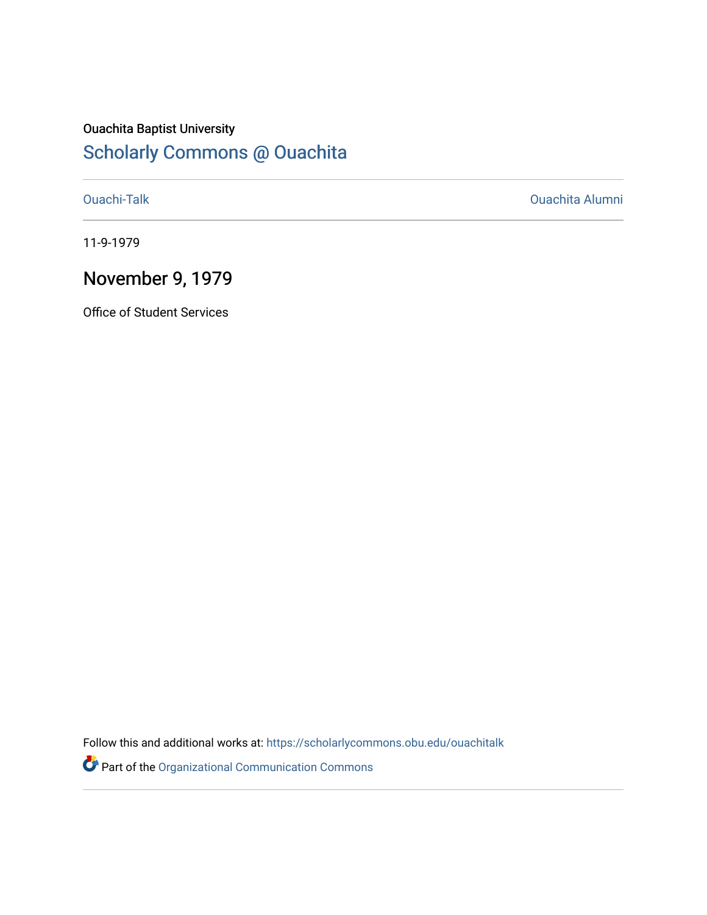# Ouachita Baptist University

## [Scholarly Commons @ Ouachita](https://scholarlycommons.obu.edu/)

[Ouachi-Talk](https://scholarlycommons.obu.edu/ouachitalk) [Ouachita Alumni](https://scholarlycommons.obu.edu/obu_alum) 

11-9-1979

### November 9, 1979

Office of Student Services

Follow this and additional works at: [https://scholarlycommons.obu.edu/ouachitalk](https://scholarlycommons.obu.edu/ouachitalk?utm_source=scholarlycommons.obu.edu%2Fouachitalk%2F205&utm_medium=PDF&utm_campaign=PDFCoverPages) 

Part of the [Organizational Communication Commons](http://network.bepress.com/hgg/discipline/335?utm_source=scholarlycommons.obu.edu%2Fouachitalk%2F205&utm_medium=PDF&utm_campaign=PDFCoverPages)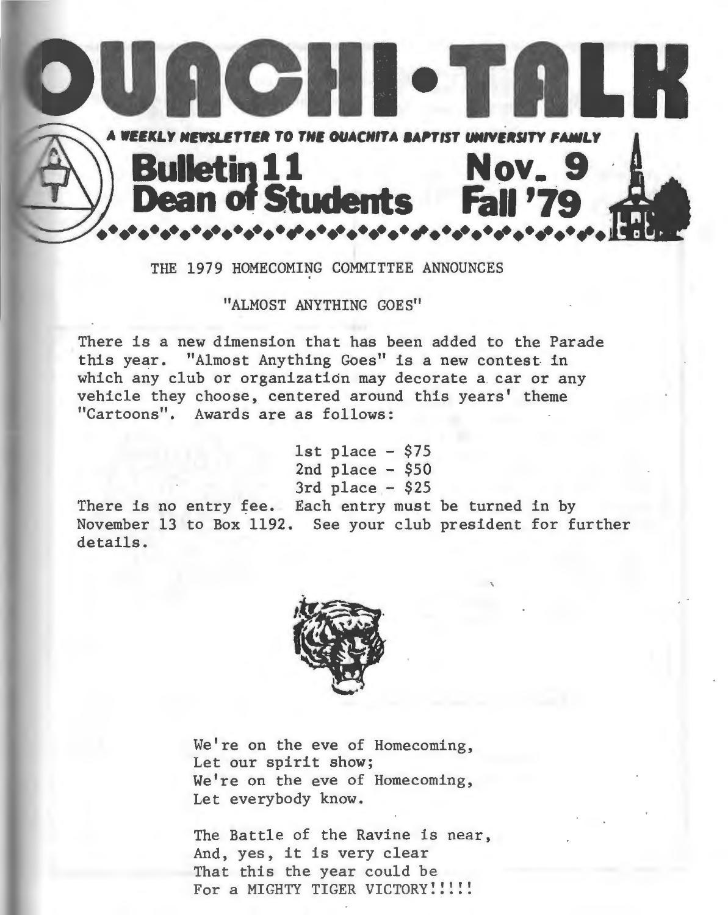

#### THE 1979 HOMECOMING COMMITTEE ANNOUNCES

"ALMOST ANYTHING GOES"

There is a new dimension that has been added to the Parade this year. "Almost Anything Goes" is a new contest in which any club or organization may decorate a car or any vehicle they choose, centered around this years' theme "Cartoons". Awards are as follows:

> 1st place  $-$  \$75  $2nd$  place  $-$  \$50  $3rd$  place  $-$  \$25

There is no entry fee. Each entry must be turned in by November 13 to Box 1192. See your club president for further details.



We're on the eve of Homecoming, Let our spirit show; We're on the eve of Homecoming, Let everybody know.

The Battle of the Ravine is near, And, yes, it is very clear That this the year could be For a MIGHTY TIGER VICTORY!!!!!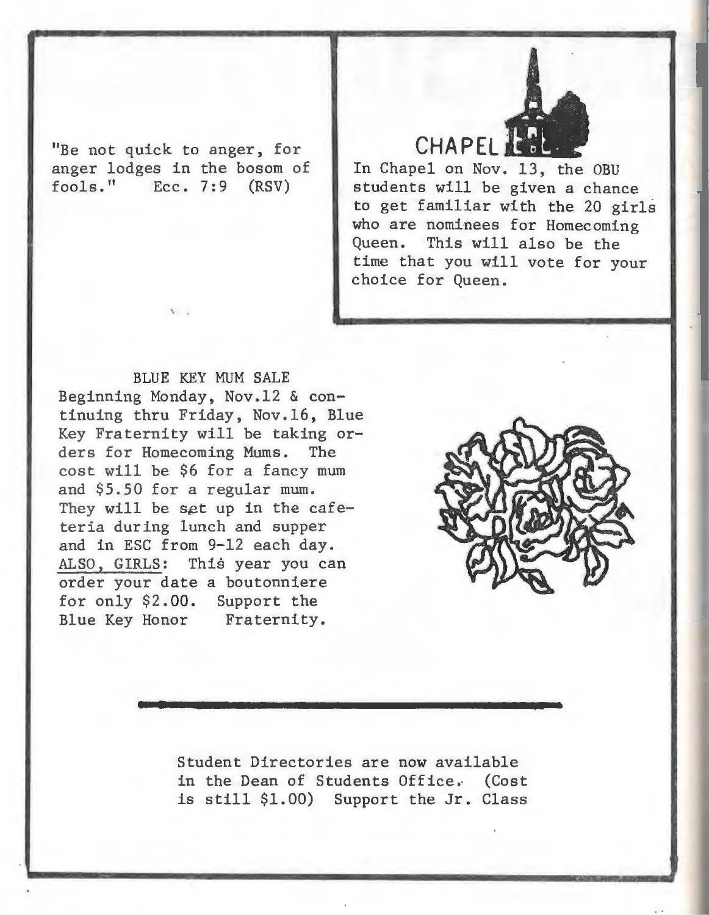"Be not quick to anger, for anger lodges in the bosom of  $fools.$ " Ecc.  $7:9$   $(RSV)$ 

 $\mathcal{F}$ 

**CHAPEL AND** In Chapel on Nov. 13, the OBU students will be given a chance to get familiar with the 20 girls who are nominees for Homecoming Queen. This will also be the time that you will vote for your choice for Queen.

BLUE KEY MUM SALE Beginning Monday, Nov.l2 & continuing thru Friday, Nov.l6, Blue Key Fraternity will be taking orders for Homecoming Mums. The cost will be \$6 for a fancy mum and \$5.50 for a regular mum. They will be set up in the cafeteria during lunch and supper and in ESC from 9-12 each day. ALSO, GIRLS: This year you can order your date a boutonniere for only \$2.00. Support the Blue Key Honor Fraternity.



Student Directories are now available in the Dean of Students Office, (Cost is still \$1.00) Support the Jr. Class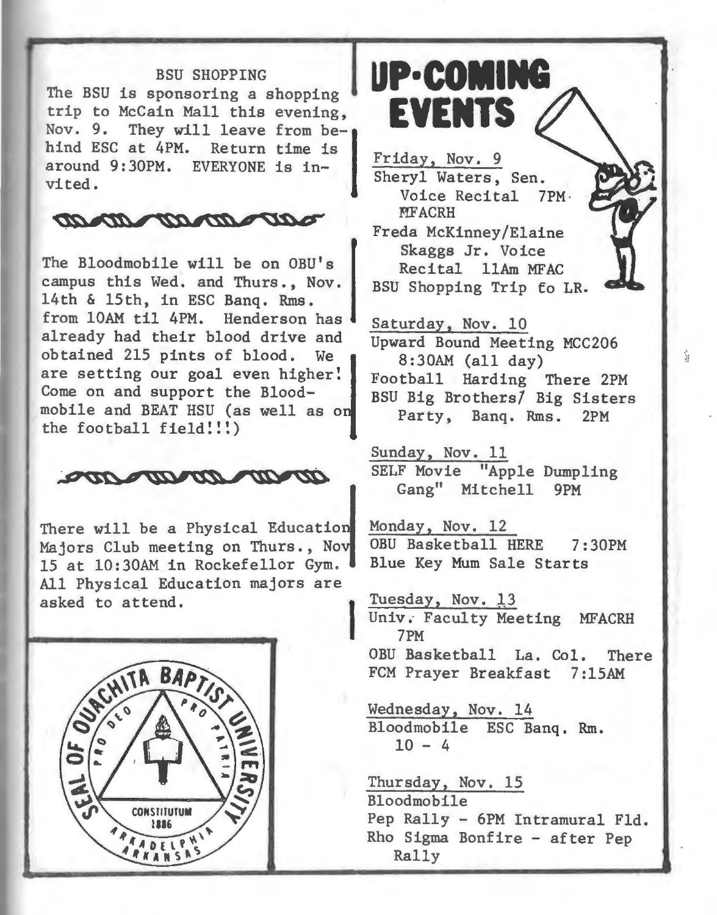#### BSU SHOPPING

The BSU is sponsoring a shopping trip to McCain Mall this evening,<br>Nov. 9. They will leave from be-They will leave from be-<br>at 4PM. Return time is hind ESC at 4PM. around 9:30PM. EVERYONE is invited .



The Bloodmobile will be on OBU's Rempus this Wed. and Thurs., Nov. BSU 14th & 15th, in ESC Banq. Rms. from 10AM til 4PM. Henderson has already had their blood drive and obtained 215 pints of blood. We <sup>~</sup> are setting our goal even higher! Come on and support the Bloodmobile and BEAT HSU (as well as o the football field!!!)



There will be a Physical Education<br>Majors Club meeting on Thurs., Nov 15 at 10:30AM in Rockefellor Gym. All Physical Education majors are<br>
asked to attend. I Induced Tuesday, Nov. 13



**UP· COMING EVENTS** 

Friday, Nov. 9 Sheryl Waters, Sen. Voice Recital 7PM. **MFACRH** Freda McKinney/Elaine Skaggs Jr. Voice Recital llAm MFAC BSU Shopping Trip fo LR.

Saturday, Nov. 10 Upward Bound Meeting MCC206 8:30AM (all day) Football Harding There 2PM BSU Big Brothers/ Big Sisters Party, Banq. Rms. 2PM

Sunday, Nov. 11 SELF Movie "Apple Dumpling Gang" Mitchell 9PM

Monday, Nov. 12 OBU Basketball HERE 7:30PM Blue Key Mum Sale Starts

Univ. Faculty Meeting MFACRH 7PM OBU Basketball La. Col. There FCM Prayer Breakfast 7:15AM

Wednesday, Nov. 14 Bloodmobile ESC Banq. Rm.  $10 - 4$ 

Thursday, Nov. 15 Bloodmobile Pep Rally - 6PM Intramural Fld. Rho Sigma Bonfire - after Pep Rally